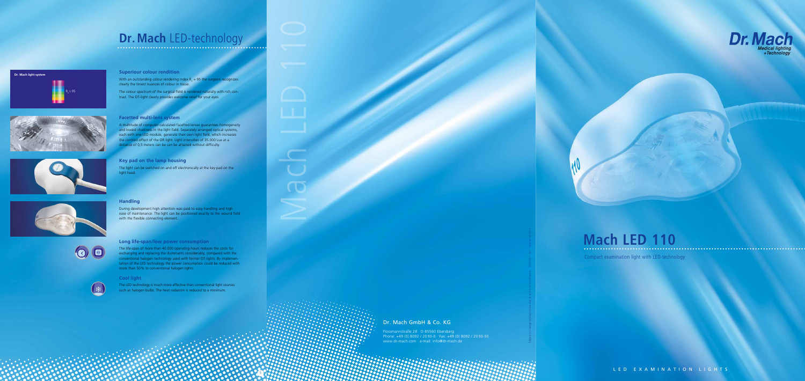5

Mach LED 110



## **Dr. Mach** LED-technology











条

Subject to change without notice due to technical modification · 59000321 A01 · Version 04/2013

### **Mach LED 110**

Compact examination light with LED-technology

LED EXAMINATION LIGHTS

Dr. Mach Gmb H & Co. KG

With an outstanding colour rendering index  $R_a = 95$  the surgeon recognizes clearly the tiniest nuances of colour in tissue.

The colour spectrum of the surgical field is rendered naturally with rich contrast. The OT-light clearly provides welcome relief for your eyes.

> Flossmannstraße 28 · D-85560 Ebersberg Phone: +49 (0) 8092 / 20 93-0 · Fax: +49 (0) 8092 / 20 93-50 www.dr-mach.com · e-mail: info@dr-mach.de

**Superiour colour rendition**

#### **Facetted multi-lens system**

A multitude of computer-calculated facetted lenses guarantees homogeneity and lowest shadiness in the light field. Separately arranged optical systems, each with one LED module, generate their own light field, which increases the contrast effect of the OR light. Light intensities of 35.000 Lux at a distance of 0,5 meters can be can be attained without difficulty.

### **Key pad on the lamp housing**

The light can be switched on and off electronically at the key pad on the light head.

#### **Handling**

During development high attention was paid to easy handling and high ease of maintenance. The light can be positioned exactly to the wound field with the flexible connecting element.

#### **Long life-span/low power consumption**

The life-span of more than 40.000 operating hours reduces the costs for exchanging and replacing the illuminants considerably, compared with the conventional halogen technology used with former OT-lights. By implemen tation of the LED technology the power consumption could be reduced with more than 50% to conventional halogen lights.

#### **Cool light**

The LED technology is much more effective than conventional light sources such as halogen bulbs. The heat radiation is reduced to a minimum.

#### **Dr. Mach light system**